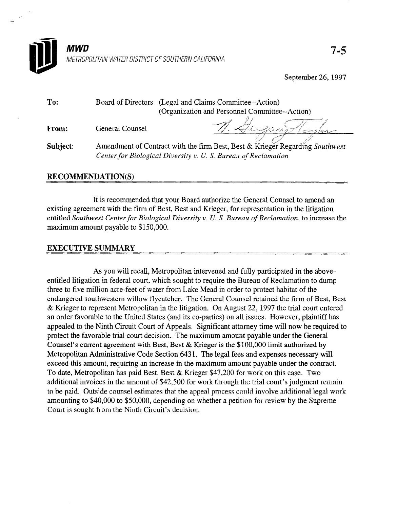

September 26,1997

| To:      |                                                                | Board of Directors (Legal and Claims Committee--Action)                      |
|----------|----------------------------------------------------------------|------------------------------------------------------------------------------|
|          |                                                                | (Organization and Personnel Committee--Action)                               |
| From:    | General Counsel                                                | Sugarto                                                                      |
| Subject: |                                                                | Amendment of Contract with the firm Best, Best & Krieger Regarding Southwest |
|          | Center for Biological Diversity v. U. S. Bureau of Reclamation |                                                                              |

## RECOMMENDATION(S)

It is recommended that your Board authorize the General Counsel to amend an existing agreement with the firm of Best, Best and Krieger, for representation in the litigation entitled Southwest Center for Biological Diversity v. U. S. Bureau of Reclamation, to increase the maximum amount payable to \$150,000.

## EXECUTIVE SUMMARY

As you will recall, Metropolitan intervened and fully participated in the above-As you will feed, white sought the Reclamation in federal court to require the Bureau of Reclamation to dumped entitled litigation in federal court, which sought to require the Bureau of Reclamation to dump three to five million acre-feet of water from Lake Mead in order to protect habitat of the endangered southwestern willow flycatcher. The General Counsel retained the firm of Best, Best & Krieger to represent Metropolitan in the litigation. On August 22, 1997 the trial court entered an order favorable to the United States (and its co-parties) on all issues. However, plaintiff has appealed to the Ninth Circuit Court of Appeals. Significant attorney time will now be required to protect the favorable trial court decision. The maximum amount payable under the General Counsel's current agreement with Best, Best & Krieger is the  $$100,000$  limit authorized by Metropolitan Administrative Code Section 6431. The legal fees and expenses necessary will exceed this amount, requiring an increase in the maximum amount payable under the contract. To date, Metropolitan has paid Best, Best & Krieger \$47,200 for work on this case. Two additional invoices in the amount of \$42,500 for work through the trial court's judgment remain to be paid. Outside counsel estimates that the appeal process could involve additional legal work amounting to \$40,000 to \$50,000, depending on whether a petition for review by the Supreme Court is sought from the Ninth Circuit's decision.